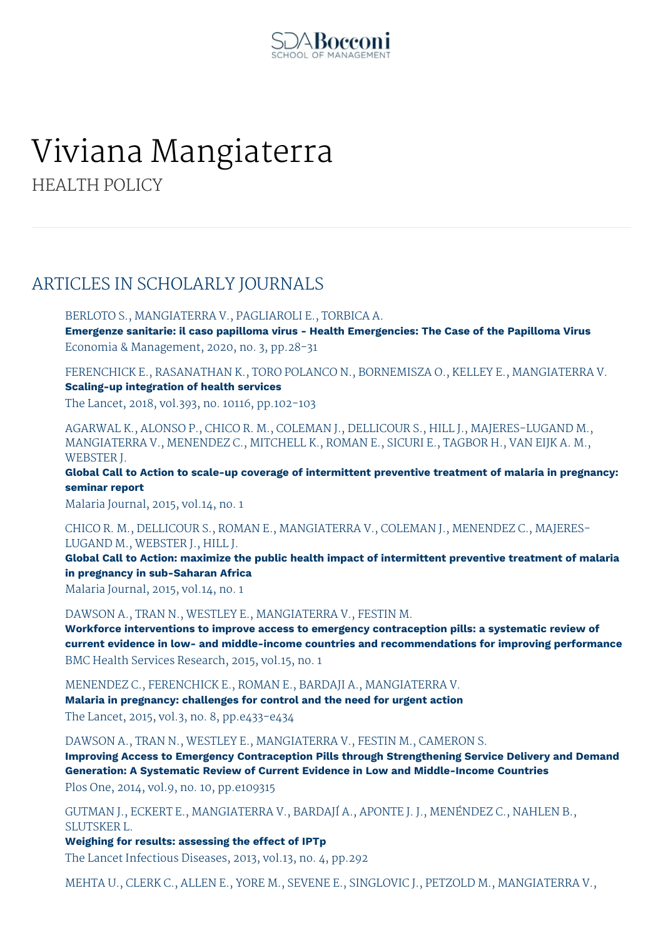

# Viviana Mangiaterra

HEALTH POLICY

# ARTICLES IN SCHOLARLY JOURNALS

BERLOTO S., MANGIATERRA V., PAGLIAROLI E., TORBICA A.

**Emergenze sanitarie: il caso papilloma virus - Health Emergencies: The Case of the Papilloma Virus** Economia & Management, 2020, no. 3, pp.28-31

FERENCHICK E., RASANATHAN K., TORO POLANCO N., BORNEMISZA O., KELLEY E., MANGIATERRA V. **Scaling-up integration of health services**

The Lancet, 2018, vol.393, no. 10116, pp.102-103

AGARWAL K., ALONSO P., CHICO R. M., COLEMAN J., DELLICOUR S., HILL J., MAJERES-LUGAND M., MANGIATERRA V., MENENDEZ C., MITCHELL K., ROMAN E., SICURI E., TAGBOR H., VAN EIJK A. M., WEBSTER J.

**Global Call to Action to scale-up coverage of intermittent preventive treatment of malaria in pregnancy: seminar report**

Malaria Journal, 2015, vol.14, no. 1

CHICO R. M., DELLICOUR S., ROMAN E., MANGIATERRA V., COLEMAN J., MENENDEZ C., MAJERES-LUGAND M., WEBSTER J., HILL J.

**Global Call to Action: maximize the public health impact of intermittent preventive treatment of malaria in pregnancy in sub-Saharan Africa**

Malaria Journal, 2015, vol.14, no. 1

DAWSON A., TRAN N., WESTLEY E., MANGIATERRA V., FESTIN M.

**Workforce interventions to improve access to emergency contraception pills: a systematic review of current evidence in low- and middle-income countries and recommendations for improving performance** BMC Health Services Research, 2015, vol.15, no. 1

MENENDEZ C., FERENCHICK E., ROMAN E., BARDAJI A., MANGIATERRA V.

**Malaria in pregnancy: challenges for control and the need for urgent action**

The Lancet, 2015, vol.3, no. 8, pp.e433-e434

DAWSON A., TRAN N., WESTLEY E., MANGIATERRA V., FESTIN M., CAMERON S.

**Improving Access to Emergency Contraception Pills through Strengthening Service Delivery and Demand Generation: A Systematic Review of Current Evidence in Low and Middle-Income Countries** Plos One, 2014, vol.9, no. 10, pp.e109315

GUTMAN J., ECKERT E., MANGIATERRA V., BARDAJÍ A., APONTE J. J., MENÉNDEZ C., NAHLEN B., SLUTSKER L.

**Weighing for results: assessing the effect of IPTp**

The Lancet Infectious Diseases, 2013, vol.13, no. 4, pp.292

MEHTA U., CLERK C., ALLEN E., YORE M., SEVENE E., SINGLOVIC J., PETZOLD M., MANGIATERRA V.,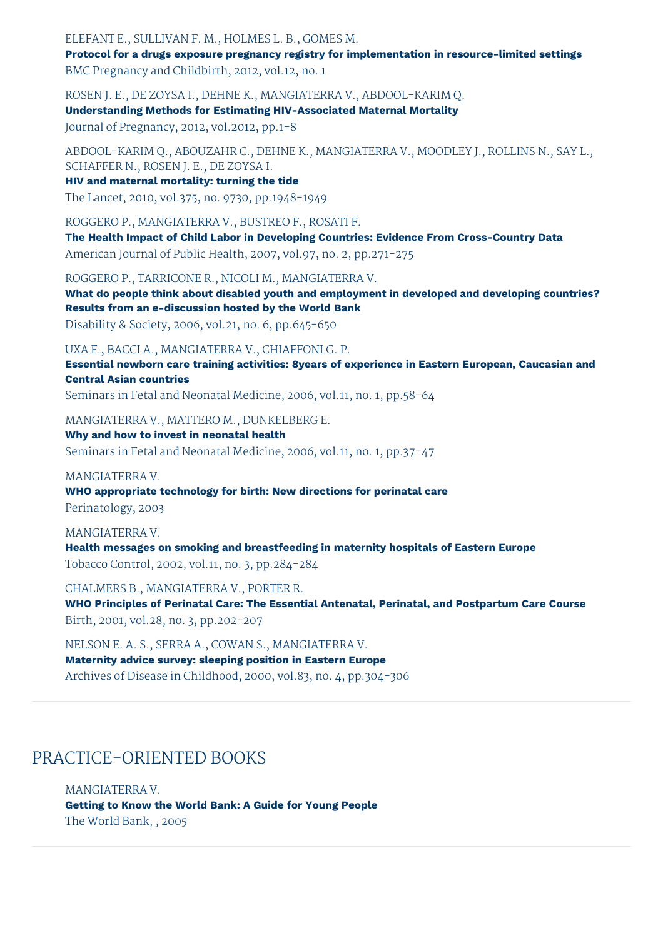#### ELEFANT E., SULLIVAN F. M., HOLMES L. B., GOMES M.

**Protocol for a drugs exposure pregnancy registry for implementation in resource-limited settings** BMC Pregnancy and Childbirth, 2012, vol.12, no. 1

ROSEN J. E., DE ZOYSA I., DEHNE K., MANGIATERRA V., ABDOOL-KARIM Q. **Understanding Methods for Estimating HIV-Associated Maternal Mortality**

Journal of Pregnancy, 2012, vol.2012, pp.1-8

ABDOOL-KARIM Q., ABOUZAHR C., DEHNE K., MANGIATERRA V., MOODLEY J., ROLLINS N., SAY L., SCHAFFER N., ROSEN J. E., DE ZOYSA I.

**HIV and maternal mortality: turning the tide**

The Lancet, 2010, vol.375, no. 9730, pp.1948-1949

ROGGERO P., MANGIATERRA V., BUSTREO F., ROSATI F.

**The Health Impact of Child Labor in Developing Countries: Evidence From Cross-Country Data** American Journal of Public Health, 2007, vol.97, no. 2, pp.271-275

ROGGERO P., TARRICONE R., NICOLI M., MANGIATERRA V.

**What do people think about disabled youth and employment in developed and developing countries? Results from an e-discussion hosted by the World Bank** Disability & Society, 2006, vol.21, no. 6, pp.645-650

## UXA F., BACCI A., MANGIATERRA V., CHIAFFONI G. P.

**Essential newborn care training activities: 8years of experience in Eastern European, Caucasian and Central Asian countries**

Seminars in Fetal and Neonatal Medicine, 2006, vol.11, no. 1, pp.58-64

#### MANGIATERRA V., MATTERO M., DUNKELBERG E.

**Why and how to invest in neonatal health** Seminars in Fetal and Neonatal Medicine, 2006, vol.11, no. 1, pp.37-47

#### MANGIATERRA V.

**WHO appropriate technology for birth: New directions for perinatal care** Perinatology, 2003

#### MANGIATERRA V.

**Health messages on smoking and breastfeeding in maternity hospitals of Eastern Europe** Tobacco Control, 2002, vol.11, no. 3, pp.284-284

CHALMERS B., MANGIATERRA V., PORTER R. **WHO Principles of Perinatal Care: The Essential Antenatal, Perinatal, and Postpartum Care Course** Birth, 2001, vol.28, no. 3, pp.202-207

NELSON E. A. S., SERRA A., COWAN S., MANGIATERRA V. **Maternity advice survey: sleeping position in Eastern Europe** Archives of Disease in Childhood, 2000, vol.83, no. 4, pp.304-306

# PRACTICE-ORIENTED BOOKS

MANGIATERRA V. **Getting to Know the World Bank: A Guide for Young People** The World Bank, , 2005